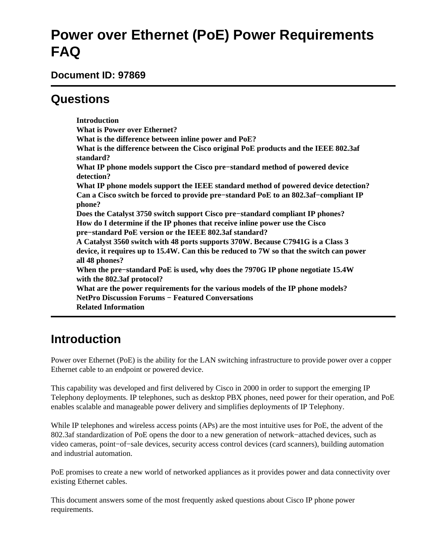# **Power over Ethernet (PoE) Power Requirements FAQ**

**Document ID: 97869**

# **Questions**

**Introduction What is Power over Ethernet? What is the difference between inline power and PoE? What is the difference between the Cisco original PoE products and the IEEE 802.3af standard? What IP phone models support the Cisco pre−standard method of powered device detection? What IP phone models support the IEEE standard method of powered device detection? Can a Cisco switch be forced to provide pre−standard PoE to an 802.3af−compliant IP phone? Does the Catalyst 3750 switch support Cisco pre−standard compliant IP phones? How do I determine if the IP phones that receive inline power use the Cisco pre−standard PoE version or the IEEE 802.3af standard? A Catalyst 3560 switch with 48 ports supports 370W. Because C7941G is a Class 3 device, it requires up to 15.4W. Can this be reduced to 7W so that the switch can power all 48 phones? When the pre−standard PoE is used, why does the 7970G IP phone negotiate 15.4W with the 802.3af protocol? What are the power requirements for the various models of the IP phone models? NetPro Discussion Forums − Featured Conversations Related Information**

# **Introduction**

Power over Ethernet (PoE) is the ability for the LAN switching infrastructure to provide power over a copper Ethernet cable to an endpoint or powered device.

This capability was developed and first delivered by Cisco in 2000 in order to support the emerging IP Telephony deployments. IP telephones, such as desktop PBX phones, need power for their operation, and PoE enables scalable and manageable power delivery and simplifies deployments of IP Telephony.

While IP telephones and wireless access points (APs) are the most intuitive uses for PoE, the advent of the 802.3af standardization of PoE opens the door to a new generation of network−attached devices, such as video cameras, point−of−sale devices, security access control devices (card scanners), building automation and industrial automation.

PoE promises to create a new world of networked appliances as it provides power and data connectivity over existing Ethernet cables.

This document answers some of the most frequently asked questions about Cisco IP phone power requirements.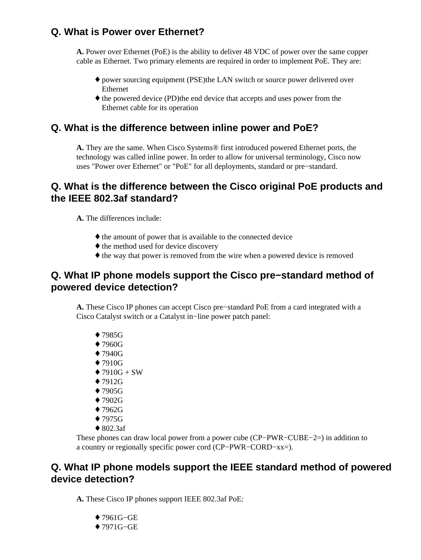#### **Q. What is Power over Ethernet?**

**A.** Power over Ethernet (PoE) is the ability to deliver 48 VDC of power over the same copper cable as Ethernet. Two primary elements are required in order to implement PoE. They are:

- power sourcing equipment (PSE) the LAN switch or source power delivered over Ethernet
- the powered device (PD) the end device that accepts and uses power from the Ethernet cable for its operation

#### **Q. What is the difference between inline power and PoE?**

**A.** They are the same. When Cisco Systems® first introduced powered Ethernet ports, the technology was called inline power. In order to allow for universal terminology, Cisco now uses "Power over Ethernet" or "PoE" for all deployments, standard or pre−standard.

#### **Q. What is the difference between the Cisco original PoE products and the IEEE 802.3af standard?**

**A.** The differences include:

- ♦ the amount of power that is available to the connected device
- $\triangle$  the method used for device discovery
- ♦ the way that power is removed from the wire when a powered device is removed

#### **Q. What IP phone models support the Cisco pre−standard method of powered device detection?**

**A.** These Cisco IP phones can accept Cisco pre−standard PoE from a card integrated with a Cisco Catalyst switch or a Catalyst in−line power patch panel:

- ♦ 7985G
- ♦ 7960G
- ♦ 7940G
- ♦ 7910G
- $\triangle$  7910G + SW
- ♦ 7912G
- ♦ 7905G
- ♦ 7902G
- ♦ 7962G
- ♦ 7975G
- $\triangleleft$  802.3af

These phones can draw local power from a power cube (CP−PWR−CUBE−2=) in addition to a country or regionally specific power cord (CP−PWR−CORD−xx=).

#### **Q. What IP phone models support the IEEE standard method of powered device detection?**

**A.** These Cisco IP phones support IEEE 802.3af PoE:

- ♦ 7961G−GE
- ♦ 7971G−GE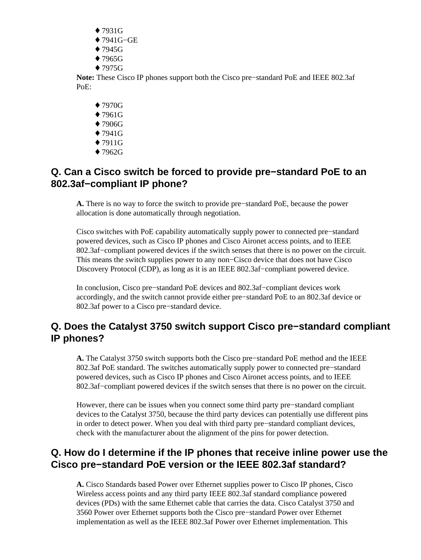- ♦ 7931G
- ♦ 7941G−GE
- $\div$  7945G
- $\div$  7965G
- ♦ 7975G

**Note:** These Cisco IP phones support both the Cisco pre−standard PoE and IEEE 802.3af PoE:

- ♦ 7970G
- ♦ 7961G
- ♦ 7906G
- ♦ 7941G
- ♦ 7911G
- ♦ 7962G

#### **Q. Can a Cisco switch be forced to provide pre−standard PoE to an 802.3af−compliant IP phone?**

**A.** There is no way to force the switch to provide pre−standard PoE, because the power allocation is done automatically through negotiation.

Cisco switches with PoE capability automatically supply power to connected pre−standard powered devices, such as Cisco IP phones and Cisco Aironet access points, and to IEEE 802.3af−compliant powered devices if the switch senses that there is no power on the circuit. This means the switch supplies power to any non−Cisco device that does not have Cisco Discovery Protocol (CDP), as long as it is an IEEE 802.3af−compliant powered device.

In conclusion, Cisco pre−standard PoE devices and 802.3af−compliant devices work accordingly, and the switch cannot provide either pre−standard PoE to an 802.3af device or 802.3af power to a Cisco pre−standard device.

#### **Q. Does the Catalyst 3750 switch support Cisco pre−standard compliant IP phones?**

**A.** The Catalyst 3750 switch supports both the Cisco pre−standard PoE method and the IEEE 802.3af PoE standard. The switches automatically supply power to connected pre−standard powered devices, such as Cisco IP phones and Cisco Aironet access points, and to IEEE 802.3af−compliant powered devices if the switch senses that there is no power on the circuit.

However, there can be issues when you connect some third party pre−standard compliant devices to the Catalyst 3750, because the third party devices can potentially use different pins in order to detect power. When you deal with third party pre−standard compliant devices, check with the manufacturer about the alignment of the pins for power detection.

#### **Q. How do I determine if the IP phones that receive inline power use the Cisco pre−standard PoE version or the IEEE 802.3af standard?**

**A.** Cisco Standards based Power over Ethernet supplies power to Cisco IP phones, Cisco Wireless access points and any third party IEEE 802.3af standard compliance powered devices (PDs) with the same Ethernet cable that carries the data. Cisco Catalyst 3750 and 3560 Power over Ethernet supports both the Cisco pre−standard Power over Ethernet implementation as well as the IEEE 802.3af Power over Ethernet implementation. This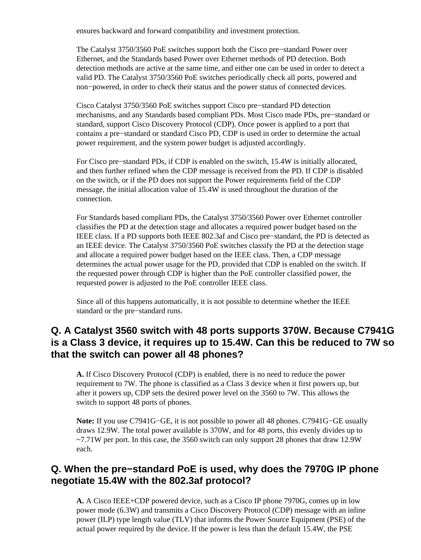ensures backward and forward compatibility and investment protection.

The Catalyst 3750/3560 PoE switches support both the Cisco pre−standard Power over Ethernet, and the Standards based Power over Ethernet methods of PD detection. Both detection methods are active at the same time, and either one can be used in order to detect a valid PD. The Catalyst 3750/3560 PoE switches periodically check all ports, powered and non−powered, in order to check their status and the power status of connected devices.

Cisco Catalyst 3750/3560 PoE switches support Cisco pre−standard PD detection mechanisms, and any Standards based compliant PDs. Most Cisco made PDs, pre−standard or standard, support Cisco Discovery Protocol (CDP). Once power is applied to a port that contains a pre−standard or standard Cisco PD, CDP is used in order to determine the actual power requirement, and the system power budget is adjusted accordingly.

For Cisco pre−standard PDs, if CDP is enabled on the switch, 15.4W is initially allocated, and then further refined when the CDP message is received from the PD. If CDP is disabled on the switch, or if the PD does not support the Power requirements field of the CDP message, the initial allocation value of 15.4W is used throughout the duration of the connection.

For Standards based compliant PDs, the Catalyst 3750/3560 Power over Ethernet controller classifies the PD at the detection stage and allocates a required power budget based on the IEEE class. If a PD supports both IEEE 802.3af and Cisco pre−standard, the PD is detected as an IEEE device. The Catalyst 3750/3560 PoE switches classify the PD at the detection stage and allocate a required power budget based on the IEEE class. Then, a CDP message determines the actual power usage for the PD, provided that CDP is enabled on the switch. If the requested power through CDP is higher than the PoE controller classified power, the requested power is adjusted to the PoE controller IEEE class.

Since all of this happens automatically, it is not possible to determine whether the IEEE standard or the pre−standard runs.

#### **Q. A Catalyst 3560 switch with 48 ports supports 370W. Because C7941G is a Class 3 device, it requires up to 15.4W. Can this be reduced to 7W so that the switch can power all 48 phones?**

**A.** If Cisco Discovery Protocol (CDP) is enabled, there is no need to reduce the power requirement to 7W. The phone is classified as a Class 3 device when it first powers up, but after it powers up, CDP sets the desired power level on the 3560 to 7W. This allows the switch to support 48 ports of phones.

**Note:** If you use C7941G−GE, it is not possible to power all 48 phones. C7941G−GE usually draws 12.9W. The total power available is 370W, and for 48 ports, this evenly divides up to ~7.71W per port. In this case, the 3560 switch can only support 28 phones that draw 12.9W each.

#### **Q. When the pre−standard PoE is used, why does the 7970G IP phone negotiate 15.4W with the 802.3af protocol?**

**A.** A Cisco IEEE+CDP powered device, such as a Cisco IP phone 7970G, comes up in low power mode (6.3W) and transmits a Cisco Discovery Protocol (CDP) message with an inline power (ILP) type length value (TLV) that informs the Power Source Equipment (PSE) of the actual power required by the device. If the power is less than the default 15.4W, the PSE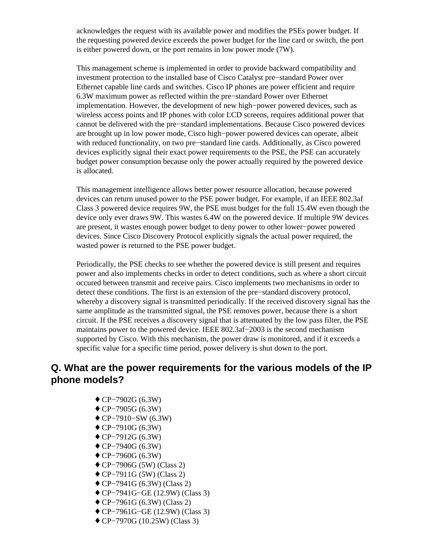acknowledges the request with its available power and modifies the PSEs power budget. If the requesting powered device exceeds the power budget for the line card or switch, the port is either powered down, or the port remains in low power mode (7W).

This management scheme is implemented in order to provide backward compatibility and investment protection to the installed base of Cisco Catalyst pre−standard Power over Ethernet capable line cards and switches. Cisco IP phones are power efficient and require 6.3W maximum power as reflected within the pre−standard Power over Ethernet implementation. However, the development of new high−power powered devices, such as wireless access points and IP phones with color LCD screens, requires additional power that cannot be delivered with the pre−standard implementations. Because Cisco powered devices are brought up in low power mode, Cisco high−power powered devices can operate, albeit with reduced functionality, on two pre−standard line cards. Additionally, as Cisco powered devices explicitly signal their exact power requirements to the PSE, the PSE can accurately budget power consumption because only the power actually required by the powered device is allocated.

This management intelligence allows better power resource allocation, because powered devices can return unused power to the PSE power budget. For example, if an IEEE 802.3af Class 3 powered device requires 9W, the PSE must budget for the full 15.4W even though the device only ever draws 9W. This wastes 6.4W on the powered device. If multiple 9W devices are present, it wastes enough power budget to deny power to other lower−power powered devices. Since Cisco Discovery Protocol explicitly signals the actual power required, the wasted power is returned to the PSE power budget.

Periodically, the PSE checks to see whether the powered device is still present and requires power and also implements checks in order to detect conditions, such as where a short circuit occured between transmit and receive pairs. Cisco implements two mechanisms in order to detect these conditions. The first is an extension of the pre−standard discovery protocol, whereby a discovery signal is transmitted periodically. If the received discovery signal has the same amplitude as the transmitted signal, the PSE removes power, because there is a short circuit. If the PSE receives a discovery signal that is attenuated by the low pass filter, the PSE maintains power to the powered device. IEEE 802.3af−2003 is the second mechanism supported by Cisco. With this mechanism, the power draw is monitored, and if it exceeds a specific value for a specific time period, power delivery is shut down to the port.

#### **Q. What are the power requirements for the various models of the IP phone models?**

- ♦ CP−7902G (6.3W)
- ♦ CP−7905G (6.3W)
- ♦ CP−7910−SW (6.3W)
- ♦ CP−7910G (6.3W)
- ♦ CP−7912G (6.3W)
- ♦ CP−7940G (6.3W)
- ♦ CP−7960G (6.3W)
- ♦ CP−7906G (5W) (Class 2)
- ♦ CP−7911G (5W) (Class 2)
- ♦ CP−7941G (6.3W) (Class 2)
- ♦ CP−7941G−GE (12.9W) (Class 3)
- ♦ CP−7961G (6.3W) (Class 2)
- ♦ CP−7961G−GE (12.9W) (Class 3)
- ♦ CP−7970G (10.25W) (Class 3)